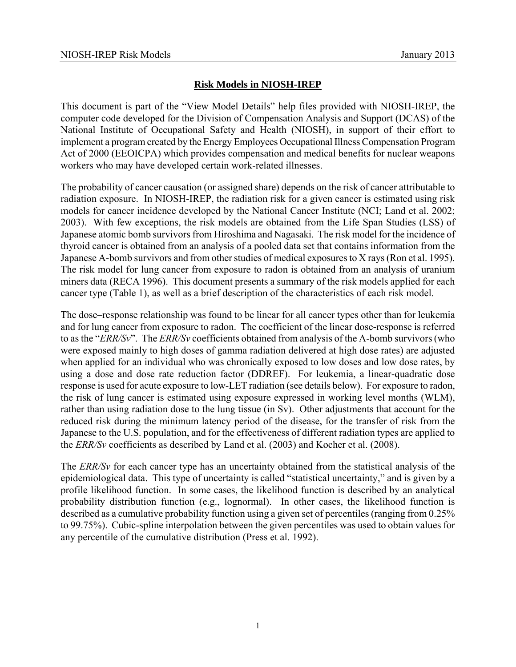# **Risk Models in NIOSH-IREP**

This document is part of the "View Model Details" help files provided with NIOSH-IREP, the computer code developed for the Division of Compensation Analysis and Support (DCAS) of the National Institute of Occupational Safety and Health (NIOSH), in support of their effort to implement a program created by the Energy Employees Occupational Illness Compensation Program Act of 2000 (EEOICPA) which provides compensation and medical benefits for nuclear weapons workers who may have developed certain work-related illnesses.

The probability of cancer causation (or assigned share) depends on the risk of cancer attributable to radiation exposure. In NIOSH-IREP, the radiation risk for a given cancer is estimated using risk models for cancer incidence developed by the National Cancer Institute (NCI; Land et al. 2002; 2003). With few exceptions, the risk models are obtained from the Life Span Studies (LSS) of Japanese atomic bomb survivors from Hiroshima and Nagasaki. The risk model for the incidence of thyroid cancer is obtained from an analysis of a pooled data set that contains information from the Japanese A-bomb survivors and from other studies of medical exposures to X rays (Ron et al. 1995). The risk model for lung cancer from exposure to radon is obtained from an analysis of uranium miners data (RECA 1996). This document presents a summary of the risk models applied for each cancer type (Table 1), as well as a brief description of the characteristics of each risk model.

The dose–response relationship was found to be linear for all cancer types other than for leukemia and for lung cancer from exposure to radon. The coefficient of the linear dose-response is referred to as the "*ERR/Sv*". The *ERR/Sv* coefficients obtained from analysis of the A-bomb survivors (who were exposed mainly to high doses of gamma radiation delivered at high dose rates) are adjusted when applied for an individual who was chronically exposed to low doses and low dose rates, by using a dose and dose rate reduction factor (DDREF). For leukemia, a linear-quadratic dose response is used for acute exposure to low-LET radiation (see details below). For exposure to radon, the risk of lung cancer is estimated using exposure expressed in working level months (WLM), rather than using radiation dose to the lung tissue (in Sv). Other adjustments that account for the reduced risk during the minimum latency period of the disease, for the transfer of risk from the Japanese to the U.S. population, and for the effectiveness of different radiation types are applied to the *ERR/Sv* coefficients as described by Land et al. (2003) and Kocher et al. (2008).

The *ERR/Sv* for each cancer type has an uncertainty obtained from the statistical analysis of the epidemiological data. This type of uncertainty is called "statistical uncertainty," and is given by a profile likelihood function. In some cases, the likelihood function is described by an analytical probability distribution function (e.g., lognormal). In other cases, the likelihood function is described as a cumulative probability function using a given set of percentiles (ranging from 0.25% to 99.75%). Cubic-spline interpolation between the given percentiles was used to obtain values for any percentile of the cumulative distribution (Press et al. 1992).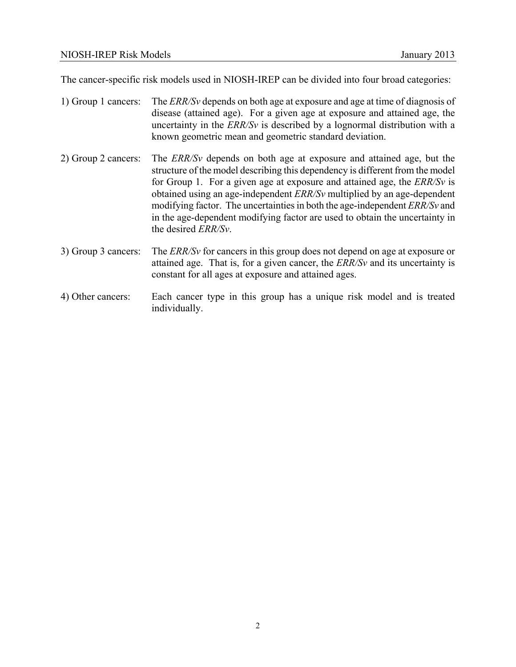The cancer-specific risk models used in NIOSH-IREP can be divided into four broad categories:

- 1) Group 1 cancers: The *ERR/Sv* depends on both age at exposure and age at time of diagnosis of disease (attained age). For a given age at exposure and attained age, the uncertainty in the *ERR/Sv* is described by a lognormal distribution with a known geometric mean and geometric standard deviation. 2) Group 2 cancers: The *ERR/Sv* depends on both age at exposure and attained age, but the structure of the model describing this dependency is different from the model for Group 1. For a given age at exposure and attained age, the *ERR/Sv* is obtained using an age-independent *ERR/Sv* multiplied by an age-dependent modifying factor. The uncertainties in both the age-independent *ERR/Sv* and in the age-dependent modifying factor are used to obtain the uncertainty in the desired *ERR/Sv*. 3) Group 3 cancers: The *ERR/Sv* for cancers in this group does not depend on age at exposure or attained age. That is, for a given cancer, the *ERR/Sv* and its uncertainty is constant for all ages at exposure and attained ages.
- 4) Other cancers: Each cancer type in this group has a unique risk model and is treated individually.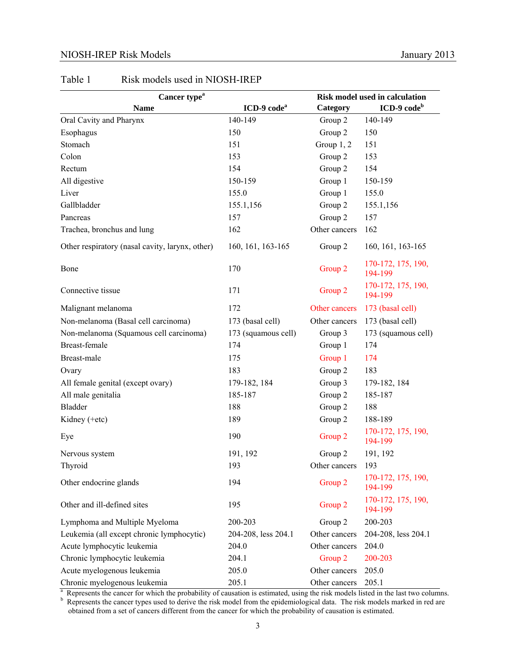#### NIOSH-IREP Risk Models January 2013

| Cancer type <sup>a</sup>                                                                       |                         | <b>Risk model used in calculation</b> |                                                     |
|------------------------------------------------------------------------------------------------|-------------------------|---------------------------------------|-----------------------------------------------------|
| <b>Name</b>                                                                                    | ICD-9 code <sup>a</sup> | Category                              | $ICD-9 codeb$                                       |
| Oral Cavity and Pharynx                                                                        | 140-149                 | Group 2                               | 140-149                                             |
| Esophagus                                                                                      | 150                     | Group 2                               | 150                                                 |
| Stomach                                                                                        | 151                     | Group $1, 2$                          | 151                                                 |
| Colon                                                                                          | 153                     | Group 2                               | 153                                                 |
| Rectum                                                                                         | 154                     | Group 2                               | 154                                                 |
| All digestive                                                                                  | 150-159                 | Group 1                               | 150-159                                             |
| Liver                                                                                          | 155.0                   | Group 1                               | 155.0                                               |
| Gallbladder                                                                                    | 155.1,156               | Group 2                               | 155.1,156                                           |
| Pancreas                                                                                       | 157                     | Group 2                               | 157                                                 |
| Trachea, bronchus and lung                                                                     | 162                     | Other cancers                         | 162                                                 |
| Other respiratory (nasal cavity, larynx, other)                                                | 160, 161, 163-165       | Group 2                               | 160, 161, 163-165                                   |
| Bone                                                                                           | 170                     | Group 2                               | 170-172, 175, 190,<br>194-199                       |
| Connective tissue                                                                              | 171                     | Group 2                               | 170-172, 175, 190,<br>194-199                       |
| Malignant melanoma                                                                             | 172                     | Other cancers                         | 173 (basal cell)                                    |
| Non-melanoma (Basal cell carcinoma)                                                            | 173 (basal cell)        | Other cancers                         | 173 (basal cell)                                    |
| Non-melanoma (Squamous cell carcinoma)                                                         | 173 (squamous cell)     | Group 3                               | 173 (squamous cell)                                 |
| <b>Breast-female</b>                                                                           | 174                     | Group 1                               | 174                                                 |
| Breast-male                                                                                    | 175                     | Group 1                               | 174                                                 |
| Ovary                                                                                          | 183                     | Group 2                               | 183                                                 |
| All female genital (except ovary)                                                              | 179-182, 184            | Group 3                               | 179-182, 184                                        |
| All male genitalia                                                                             | 185-187                 | Group 2                               | 185-187                                             |
| <b>Bladder</b>                                                                                 | 188                     | Group 2                               | 188                                                 |
| Kidney (+etc)                                                                                  | 189                     | Group 2                               | 188-189                                             |
| Eye                                                                                            | 190                     | Group 2                               | 170-172, 175, 190,<br>194-199                       |
| Nervous system                                                                                 | 191, 192                | Group 2                               | 191, 192                                            |
| Thyroid                                                                                        | 193                     | Other cancers                         | 193                                                 |
| Other endocrine glands                                                                         | 194                     | Group 2                               | 170-172, 175, 190,<br>194-199                       |
| Other and ill-defined sites                                                                    | 195                     | Group 2                               | 170-172, 175, 190,<br>194-199                       |
| Lymphoma and Multiple Myeloma                                                                  | 200-203                 | Group 2                               | 200-203                                             |
| Leukemia (all except chronic lymphocytic)                                                      | 204-208, less 204.1     | Other cancers                         | 204-208, less 204.1                                 |
| Acute lymphocytic leukemia                                                                     | 204.0                   | Other cancers                         | 204.0                                               |
| Chronic lymphocytic leukemia                                                                   | 204.1                   | Group 2                               | 200-203                                             |
| Acute myelogenous leukemia                                                                     | 205.0                   | Other cancers                         | 205.0                                               |
| Chronic myelogenous leukemia<br>Bonzoomte the concer for which the probability of concetion is | 205.1                   | Other cancers                         | 205.1<br>right models listed in the lost two solver |

#### Table 1 Risk models used in NIOSH-IREP

 $\alpha$  Represents the cancer for which the probability of causation is estimated, using the risk models listed in the last two columns.<br><sup>b</sup> Represents the cancer types used to derive the risk model from the epidemiological

obtained from a set of cancers different from the cancer for which the probability of causation is estimated.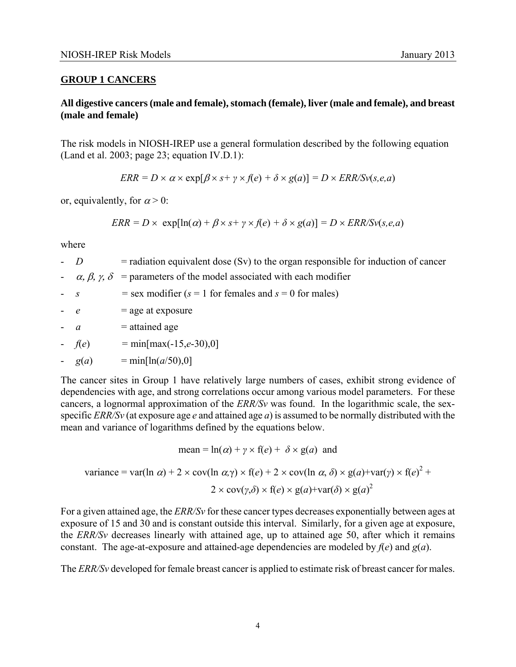## **GROUP 1 CANCERS**

## **All digestive cancers (male and female), stomach (female), liver (male and female), and breast (male and female)**

The risk models in NIOSH-IREP use a general formulation described by the following equation (Land et al. 2003; page 23; equation IV.D.1):

 $ERR = D \times a \times \exp[\beta \times s + \gamma \times f(e) + \delta \times g(a)] = D \times ERR/Sv(s,e,a)$ 

or, equivalently, for  $\alpha > 0$ :

$$
ERR = D \times \exp[\ln(\alpha) + \beta \times s + \gamma \times f(e) + \delta \times g(a)] = D \times ERR/Sv(s, e, a)
$$

where

- $\overline{D}$  $\phi$  = radiation equivalent dose (Sv) to the organ responsible for induction of cancer
- $\alpha$ ,  $\beta$ ,  $\gamma$ ,  $\delta$  = parameters of the model associated with each modifier
- $s =$  sex modifier ( $s = 1$  for females and  $s = 0$  for males)
- $e$  $=$  age at exposure
- $\overline{a}$  $=$  attained age
- $f(e)$  $= \min[\max(-15, e^{-30}), 0]$
- $g(a) = min[ln(a/50),0]$

NIOSH-IREP Risk Models<br> **GROUP 1 CANCERS**<br> **GROUP 1 CANCERS**<br>
All digestive cancers (male and female), stomach (female), liver (male and female), and breast<br>
(male and female)<br>
The risk models in NIOSH-IREP use a general The cancer sites in Group 1 have relatively large numbers of cases, exhibit strong evidence of dependencies with age, and strong correlations occur among various model parameters. For these cancers, a lognormal approximation of the *ERR/Sv* was found. In the logarithmic scale, the sexspecific *ERR/Sv* (at exposure age *e* and attained age *a*) is assumed to be normally distributed with the mean and variance of logarithms defined by the equations below.

mean = ln(
$$
\alpha
$$
) +  $\gamma \times f(e)$  +  $\delta \times g(a)$  and

variance = var(ln 
$$
\alpha
$$
) + 2 × cov(ln  $\alpha$ , $\gamma$ ) × f( $e$ ) + 2 × cov(ln  $\alpha$ ,  $\delta$ ) × g( $a$ )+var( $\gamma$ ) × f( $e$ )<sup>2</sup> +  
2 × cov( $\gamma$ , $\delta$ ) × f( $e$ ) × g( $a$ )+var( $\delta$ ) × g( $a$ )<sup>2</sup>

For a given attained age, the *ERR/Sv* for these cancer types decreases exponentially between ages at exposure of 15 and 30 and is constant outside this interval. Similarly, for a given age at exposure, the *ERR/Sv* decreases linearly with attained age, up to attained age 50, after which it remains constant. The age-at-exposure and attained-age dependencies are modeled by  $f(e)$  and  $g(a)$ .

The *ERR/Sv* developed for female breast cancer is applied to estimate risk of breast cancer for males.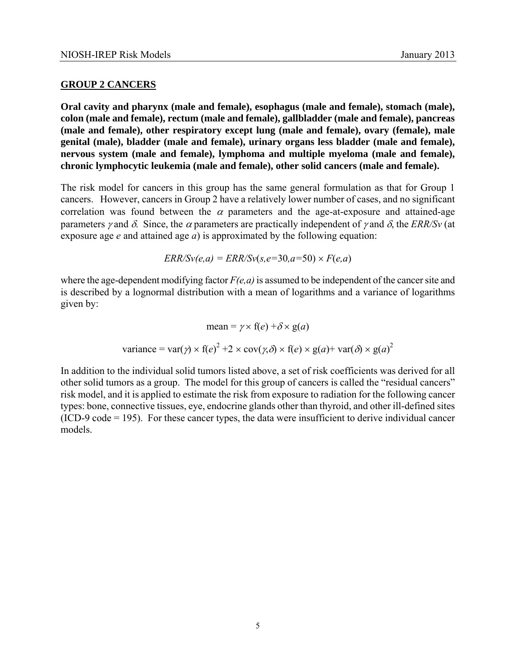#### **GROUP 2 CANCERS**

**Oral cavity and pharynx (male and female), esophagus (male and female), stomach (male), colon (male and female), rectum (male and female), gallbladder (male and female), pancreas (male and female), other respiratory except lung (male and female), ovary (female), male genital (male), bladder (male and female), urinary organs less bladder (male and female), nervous system (male and female), lymphoma and multiple myeloma (male and female), chronic lymphocytic leukemia (male and female), other solid cancers (male and female).** 

The risk model for cancers in this group has the same general formulation as that for Group 1 cancers. However, cancers in Group 2 have a relatively lower number of cases, and no significant correlation was found between the  $\alpha$  parameters and the age-at-exposure and attained-age parameters *γ* and *δ*. Since, the *α* parameters are practically independent of *γ* and *δ*, the *ERR/Sv* (at exposure age *e* and attained age *a*) is approximated by the following equation:

 $ERR/Sv(e,a) = ERR/Sv(s,e=30,a=50) \times F(e,a)$ 

where the age-dependent modifying factor *F(e,a)* is assumed to be independent of the cancer site and is described by a lognormal distribution with a mean of logarithms and a variance of logarithms given by:

$$
\text{mean} = \gamma \times f(e) + \delta \times g(a)
$$
  
variance =  $\text{var}(\gamma) \times f(e)^2 + 2 \times \text{cov}(\gamma, \delta) \times f(e) \times g(a) + \text{var}(\delta) \times g(a)^2$ 

In addition to the individual solid tumors listed above, a set of risk coefficients was derived for all other solid tumors as a group. The model for this group of cancers is called the "residual cancers" risk model, and it is applied to estimate the risk from exposure to radiation for the following cancer types: bone, connective tissues, eye, endocrine glands other than thyroid, and other ill-defined sites (ICD-9 code = 195). For these cancer types, the data were insufficient to derive individual cancer models.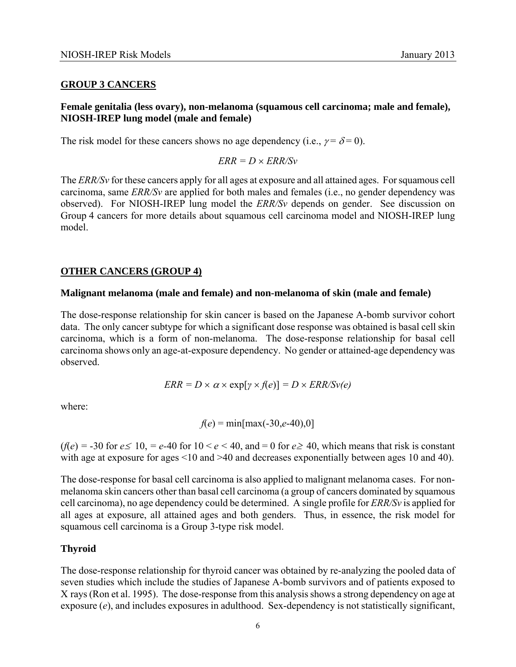#### **GROUP 3 CANCERS**

# **Female genitalia (less ovary), non-melanoma (squamous cell carcinoma; male and female), NIOSH-IREP lung model (male and female)**

The risk model for these cancers shows no age dependency (i.e.,  $\gamma = \delta = 0$ ).

 $ERR = D \times ERR/Sv$ 

The *ERR/Sv* for these cancers apply for all ages at exposure and all attained ages. For squamous cell carcinoma, same *ERR/Sv* are applied for both males and females (i.e., no gender dependency was observed). For NIOSH-IREP lung model the *ERR/Sv* depends on gender. See discussion on Group 4 cancers for more details about squamous cell carcinoma model and NIOSH-IREP lung model.

# **OTHER CANCERS (GROUP 4)**

#### **Malignant melanoma (male and female) and non-melanoma of skin (male and female)**

The dose-response relationship for skin cancer is based on the Japanese A-bomb survivor cohort data. The only cancer subtype for which a significant dose response was obtained is basal cell skin carcinoma, which is a form of non-melanoma. The dose-response relationship for basal cell carcinoma shows only an age-at-exposure dependency. No gender or attained-age dependency was observed.

$$
ERR = D \times \alpha \times \exp[\gamma \times f(e)] = D \times ERR/Sv(e)
$$

where:

 $f(e) = min(max(-30,e-40),0]$ 

 $(f(e) = -30$  for  $e \le 10$ ,  $=e$ -40 for  $10 \le e \le 40$ , and  $= 0$  for  $e \ge 40$ , which means that risk is constant with age at exposure for ages <10 and >40 and decreases exponentially between ages 10 and 40).

The dose-response for basal cell carcinoma is also applied to malignant melanoma cases. For nonmelanoma skin cancers other than basal cell carcinoma (a group of cancers dominated by squamous cell carcinoma), no age dependency could be determined. A single profile for *ERR/Sv* is applied for all ages at exposure, all attained ages and both genders. Thus, in essence, the risk model for squamous cell carcinoma is a Group 3-type risk model.

## **Thyroid**

The dose-response relationship for thyroid cancer was obtained by re-analyzing the pooled data of seven studies which include the studies of Japanese A-bomb survivors and of patients exposed to X rays (Ron et al. 1995). The dose-response from this analysis shows a strong dependency on age at exposure (*e*), and includes exposures in adulthood. Sex-dependency is not statistically significant,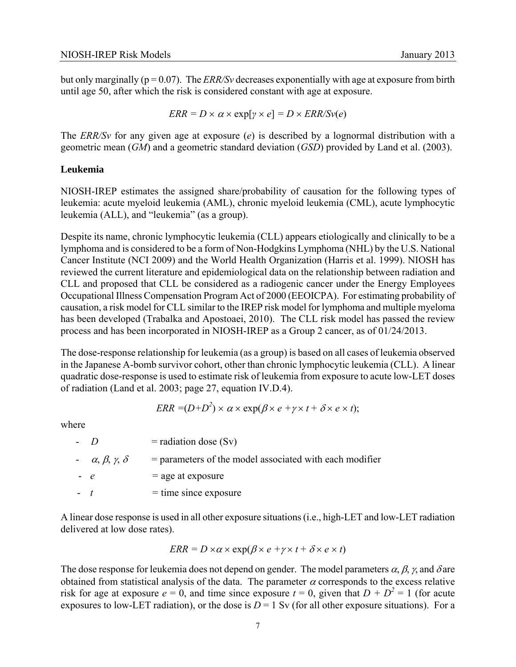but only marginally (p = 0.07). The *ERR/Sv* decreases exponentially with age at exposure from birth until age 50, after which the risk is considered constant with age at exposure.

$$
ERR = D \times \alpha \times \exp[\gamma \times e] = D \times ERR/Sv(e)
$$

The *ERR/Sv* for any given age at exposure (*e*) is described by a lognormal distribution with a geometric mean (*GM*) and a geometric standard deviation (*GSD*) provided by Land et al. (2003).

#### **Leukemia**

NIOSH-IREP estimates the assigned share/probability of causation for the following types of leukemia: acute myeloid leukemia (AML), chronic myeloid leukemia (CML), acute lymphocytic leukemia (ALL), and "leukemia" (as a group).

Despite its name, chronic lymphocytic leukemia (CLL) appears etiologically and clinically to be a lymphoma and is considered to be a form of Non-Hodgkins Lymphoma (NHL) by the U.S. National Cancer Institute (NCI 2009) and the World Health Organization (Harris et al. 1999). NIOSH has reviewed the current literature and epidemiological data on the relationship between radiation and CLL and proposed that CLL be considered as a radiogenic cancer under the Energy Employees Occupational Illness Compensation Program Act of 2000 (EEOICPA). For estimating probability of causation, a risk model for CLL similar to the IREP risk model for lymphoma and multiple myeloma has been developed (Trabalka and Apostoaei, 2010). The CLL risk model has passed the review process and has been incorporated in NIOSH-IREP as a Group 2 cancer, as of 01/24/2013.

The dose-response relationship for leukemia (as a group) is based on all cases of leukemia observed in the Japanese A-bomb survivor cohort, other than chronic lymphocytic leukemia (CLL). A linear quadratic dose-response is used to estimate risk of leukemia from exposure to acute low-LET doses of radiation (Land et al. 2003; page 27, equation IV.D.4).

$$
ERR = (D + D2) \times \alpha \times \exp(\beta \times e + \gamma \times t + \delta \times e \times t);
$$

where

|      | $-1$                             | $=$ radiation dose (Sv)                                   |
|------|----------------------------------|-----------------------------------------------------------|
|      | $-\alpha, \beta, \gamma, \delta$ | $=$ parameters of the model associated with each modifier |
| $-e$ |                                  | $=$ age at exposure                                       |

 $\cdot$  *t* = time since exposure

A linear dose response is used in all other exposure situations (i.e., high-LET and low-LET radiation delivered at low dose rates).

$$
ERR = D \times \alpha \times \exp(\beta \times e + \gamma \times t + \delta \times e \times t)
$$

The dose response for leukemia does not depend on gender. The model parameters  $\alpha$ ,  $\beta$ ,  $\gamma$ , and  $\delta$  are obtained from statistical analysis of the data. The parameter  $\alpha$  corresponds to the excess relative risk for age at exposure  $e = 0$ , and time since exposure  $t = 0$ , given that  $D + D^2 = 1$  (for acute exposures to low-LET radiation), or the dose is  $D = 1$  Sv (for all other exposure situations). For a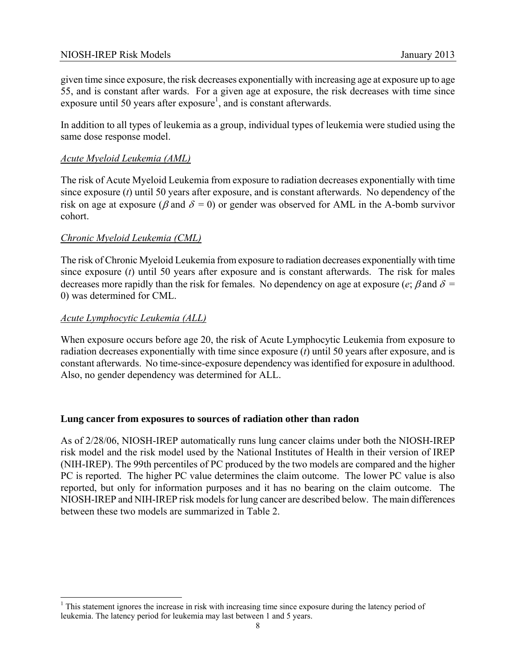given time since exposure, the risk decreases exponentially with increasing age at exposure up to age 55, and is constant after wards. For a given age at exposure, the risk decreases with time since exposure until 50 years after  $exposure<sup>1</sup>$ , and is constant afterwards.

In addition to all types of leukemia as a group, individual types of leukemia were studied using the same dose response model.

# *Acute Myeloid Leukemia (AML)*

risk on age at exposure ( $\beta$  and  $\delta = 0$ ) or gender was observed for AML in the A-bomb survivor The risk of Acute Myeloid Leukemia from exposure to radiation decreases exponentially with time since exposure (*t*) until 50 years after exposure, and is constant afterwards. No dependency of the cohort.

# *Chronic Myeloid Leukemia (CML)*

decreases more rapidly than the risk for females. No dependency on age at exposure ( $e$ ;  $\beta$  and  $\delta$  = The risk of Chronic Myeloid Leukemia from exposure to radiation decreases exponentially with time since exposure (*t*) until 50 years after exposure and is constant afterwards. The risk for males 0) was determined for CML.

## *Acute Lymphocytic Leukemia (ALL)*

 $\overline{\phantom{a}}$ 

When exposure occurs before age 20, the risk of Acute Lymphocytic Leukemia from exposure to radiation decreases exponentially with time since exposure (*t*) until 50 years after exposure, and is constant afterwards. No time-since-exposure dependency was identified for exposure in adulthood. Also, no gender dependency was determined for ALL.

## **Lung cancer from exposures to sources of radiation other than radon**

As of 2/28/06, NIOSH-IREP automatically runs lung cancer claims under both the NIOSH-IREP risk model and the risk model used by the National Institutes of Health in their version of IREP (NIH-IREP). The 99th percentiles of PC produced by the two models are compared and the higher PC is reported. The higher PC value determines the claim outcome. The lower PC value is also reported, but only for information purposes and it has no bearing on the claim outcome. The NIOSH-IREP and NIH-IREP risk models for lung cancer are described below. The main differences between these two models are summarized in Table 2.

<sup>&</sup>lt;sup>1</sup> This statement ignores the increase in risk with increasing time since exposure during the latency period of leukemia. The latency period for leukemia may last between 1 and 5 years.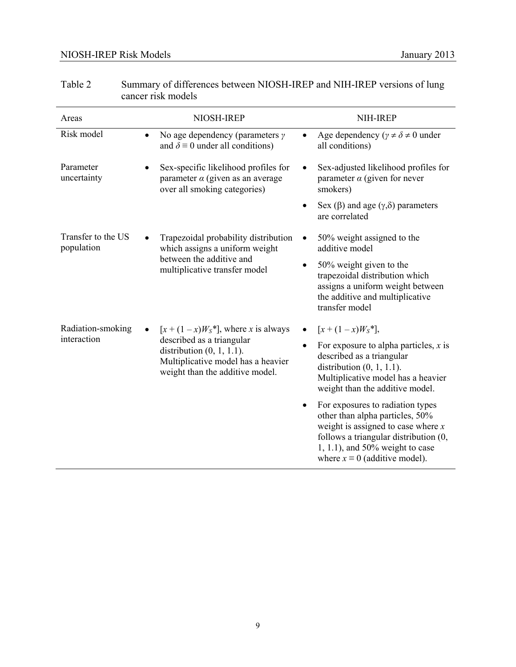| Areas                            | NIOSH-IREP                                                                                                                                                                  | NIH-IREP                                                                                                                                                                                                                        |
|----------------------------------|-----------------------------------------------------------------------------------------------------------------------------------------------------------------------------|---------------------------------------------------------------------------------------------------------------------------------------------------------------------------------------------------------------------------------|
| Risk model                       | No age dependency (parameters $\gamma$<br>$\bullet$<br>and $\delta \equiv 0$ under all conditions)                                                                          | Age dependency ( $\gamma \neq \delta \neq 0$ under<br>all conditions)                                                                                                                                                           |
| Parameter<br>uncertainty         | Sex-specific likelihood profiles for<br>$\bullet$<br>parameter $\alpha$ (given as an average<br>over all smoking categories)                                                | Sex-adjusted likelihood profiles for<br>parameter $\alpha$ (given for never<br>smokers)                                                                                                                                         |
|                                  |                                                                                                                                                                             | Sex (β) and age $(γ, δ)$ parameters<br>are correlated                                                                                                                                                                           |
| Transfer to the US<br>population | Trapezoidal probability distribution<br>which assigns a uniform weight<br>between the additive and<br>multiplicative transfer model                                         | 50% weight assigned to the<br>additive model                                                                                                                                                                                    |
|                                  |                                                                                                                                                                             | 50% weight given to the<br>trapezoidal distribution which<br>assigns a uniform weight between<br>the additive and multiplicative<br>transfer model                                                                              |
| Radiation-smoking<br>interaction | $[x + (1-x)WS^*]$ , where x is always<br>described as a triangular<br>distribution $(0, 1, 1.1)$ .<br>Multiplicative model has a heavier<br>weight than the additive model. | $[x + (1 - x)WS *],$<br>For exposure to alpha particles, $x$ is<br>$\bullet$<br>described as a triangular<br>distribution $(0, 1, 1.1)$ .<br>Multiplicative model has a heavier<br>weight than the additive model.              |
|                                  |                                                                                                                                                                             | For exposures to radiation types<br>other than alpha particles, 50%<br>weight is assigned to case where $x$<br>follows a triangular distribution (0,<br>1, 1.1), and 50% weight to case<br>where $x \equiv 0$ (additive model). |

| Table 2 | Summary of differences between NIOSH-IREP and NIH-IREP versions of lung |
|---------|-------------------------------------------------------------------------|
|         | cancer risk models                                                      |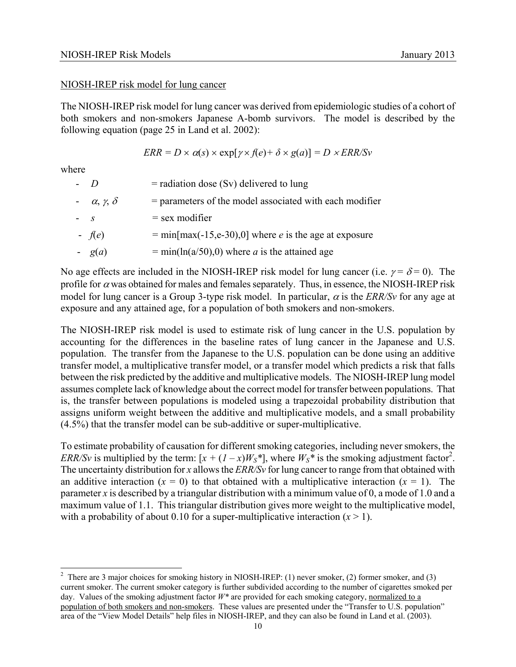#### NIOSH-IREP risk model for lung cancer

The NIOSH-IREP risk model for lung cancer was derived from epidemiologic studies of a cohort of both smokers and non-smokers Japanese A-bomb survivors. The model is described by the following equation (page 25 in Land et al. 2002):

$$
ERR = D \times \alpha(s) \times \exp[\gamma \times f(e) + \delta \times g(a)] = D \times ERR/Sv
$$

where

 $\overline{a}$ 

| $\overline{D}$            | $=$ radiation dose (Sv) delivered to lung                      |
|---------------------------|----------------------------------------------------------------|
| $-\alpha, \gamma, \delta$ | $=$ parameters of the model associated with each modifier      |
| $- S$                     | $=$ sex modifier                                               |
| $-$ f(e)                  | $= min(max(-15,e-30),0]$ where <i>e</i> is the age at exposure |
| $- g(a)$                  | $= min(ln(a/50), 0)$ where <i>a</i> is the attained age        |
|                           |                                                                |

No age effects are included in the NIOSH-IREP risk model for lung cancer (i.e.  $\gamma = \delta = 0$ ). The profile for  $\alpha$  was obtained for males and females separately. Thus, in essence, the NIOSH-IREP risk model for lung cancer is a Group 3-type risk model. In particular,  $\alpha$  is the *ERR/Sv* for any age at exposure and any attained age, for a population of both smokers and non-smokers.

The NIOSH-IREP risk model is used to estimate risk of lung cancer in the U.S. population by accounting for the differences in the baseline rates of lung cancer in the Japanese and U.S. population. The transfer from the Japanese to the U.S. population can be done using an additive transfer model, a multiplicative transfer model, or a transfer model which predicts a risk that falls between the risk predicted by the additive and multiplicative models. The NIOSH-IREP lung model assumes complete lack of knowledge about the correct model for transfer between populations. That is, the transfer between populations is modeled using a trapezoidal probability distribution that assigns uniform weight between the additive and multiplicative models, and a small probability (4.5%) that the transfer model can be sub-additive or super-multiplicative.

To estimate probability of causation for different smoking categories, including never smokers, the *ERR/Sv* is multiplied by the term:  $[x + (I - x)W_S^*]$ , where  $W_S^*$  is the smoking adjustment factor<sup>2</sup>. The uncertainty distribution for *x* allows the *ERR/Sv* for lung cancer to range from that obtained with an additive interaction  $(x = 0)$  to that obtained with a multiplicative interaction  $(x = 1)$ . The parameter *x* is described by a triangular distribution with a minimum value of 0, a mode of 1.0 and a maximum value of 1.1. This triangular distribution gives more weight to the multiplicative model, with a probability of about 0.10 for a super-multiplicative interaction  $(x > 1)$ .

<sup>&</sup>lt;sup>2</sup> There are 3 major choices for smoking history in NIOSH-IREP: (1) never smoker, (2) former smoker, and (3) current smoker. The current smoker category is further subdivided according to the number of cigarettes smoked per day. Values of the smoking adjustment factor *W\** are provided for each smoking category, normalized to a population of both smokers and non-smokers. These values are presented under the "Transfer to U.S. population" area of the "View Model Details" help files in NIOSH-IREP, and they can also be found in Land et al. (2003).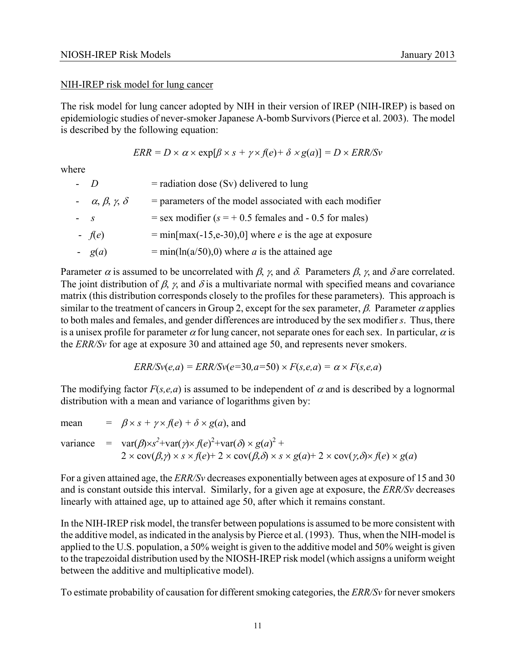#### NIH-IREP risk model for lung cancer

The risk model for lung cancer adopted by NIH in their version of IREP (NIH-IREP) is based on epidemiologic studies of never-smoker Japanese A-bomb Survivors (Pierce et al. 2003). The model is described by the following equation:

$$
ERR = D \times \alpha \times \exp[\beta \times s + \gamma \times f(e) + \delta \times g(a)] = D \times ERR/Sv
$$

where

| $-D$                             | $=$ radiation dose (Sv) delivered to lung                      |
|----------------------------------|----------------------------------------------------------------|
| $-\alpha, \beta, \gamma, \delta$ | $=$ parameters of the model associated with each modifier      |
| $- S$                            | $=$ sex modifier ( $s = +0.5$ females and - 0.5 for males)     |
| $-$ f(e)                         | $= min(max(-15,e-30),0]$ where <i>e</i> is the age at exposure |
| $- g(a)$                         | $= min(ln(a/50), 0)$ where <i>a</i> is the attained age        |

Parameter  $\alpha$  is assumed to be uncorrelated with  $\beta$ ,  $\gamma$ , and  $\delta$ . Parameters  $\beta$ ,  $\gamma$ , and  $\delta$  are correlated. The joint distribution of  $\beta$ ,  $\gamma$ , and  $\delta$  is a multivariate normal with specified means and covariance matrix (this distribution corresponds closely to the profiles for these parameters). This approach is similar to the treatment of cancers in Group 2, except for the sex parameter,  $\beta$ . Parameter  $\alpha$  applies to both males and females, and gender differences are introduced by the sex modifier *s*. Thus, there is a unisex profile for parameter  $\alpha$  for lung cancer, not separate ones for each sex. In particular,  $\alpha$  is the *ERR/Sv* for age at exposure 30 and attained age 50, and represents never smokers.

$$
ERR/Sv(e,a) =ERR/Sv(e=30,a=50) \times F(s,e,a) = \alpha \times F(s,e,a)
$$

The modifying factor  $F(s, e, a)$  is assumed to be independent of  $\alpha$  and is described by a lognormal distribution with a mean and variance of logarithms given by:

mean = 
$$
\beta \times s + \gamma \times f(e) + \delta \times g(a)
$$
, and  
variance =  $\text{var}(\beta) \times s^2 + \text{var}(\gamma) \times f(e)^2 + \text{var}(\delta) \times g(a)^2 + 2 \times \text{cov}(\beta, \gamma) \times s \times f(e) + 2 \times \text{cov}(\beta, \delta) \times s \times g(a) + 2 \times \text{cov}(\gamma, \delta) \times f(e) \times g(a)$ 

For a given attained age, the *ERR/Sv* decreases exponentially between ages at exposure of 15 and 30 and is constant outside this interval. Similarly, for a given age at exposure, the *ERR/Sv* decreases linearly with attained age, up to attained age 50, after which it remains constant.

In the NIH-IREP risk model, the transfer between populations is assumed to be more consistent with the additive model, as indicated in the analysis by Pierce et al. (1993). Thus, when the NIH-model is applied to the U.S. population, a 50% weight is given to the additive model and 50% weight is given to the trapezoidal distribution used by the NIOSH-IREP risk model (which assigns a uniform weight between the additive and multiplicative model).

To estimate probability of causation for different smoking categories, the *ERR/Sv* for never smokers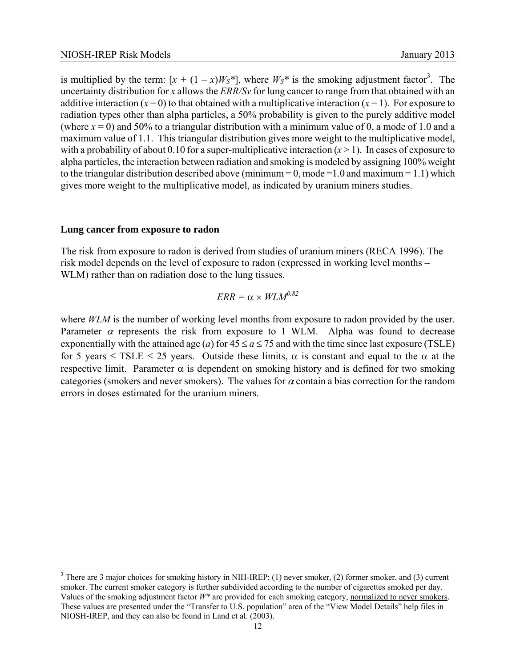is multiplied by the term:  $[x + (1 - x)W_s^*]$ , where  $W_s^*$  is the smoking adjustment factor<sup>3</sup>. The uncertainty distribution for *x* allows the *ERR/Sv* for lung cancer to range from that obtained with an additive interaction  $(x=0)$  to that obtained with a multiplicative interaction  $(x=1)$ . For exposure to radiation types other than alpha particles, a 50% probability is given to the purely additive model (where  $x = 0$ ) and 50% to a triangular distribution with a minimum value of 0, a mode of 1.0 and a maximum value of 1.1. This triangular distribution gives more weight to the multiplicative model, with a probability of about 0.10 for a super-multiplicative interaction  $(x > 1)$ . In cases of exposure to alpha particles, the interaction between radiation and smoking is modeled by assigning 100% weight to the triangular distribution described above (minimum =  $0$ , mode = 1.0 and maximum = 1.1) which gives more weight to the multiplicative model, as indicated by uranium miners studies.

#### **Lung cancer from exposure to radon**

 $\overline{a}$ 

The risk from exposure to radon is derived from studies of uranium miners (RECA 1996). The risk model depends on the level of exposure to radon (expressed in working level months – WLM) rather than on radiation dose to the lung tissues.

$$
ERR = \alpha \times WLM^{0.82}
$$

exponentially with the attained age (*a*) for  $45 \le a \le 75$  and with the time since last exposure (TSLE) where *WLM* is the number of working level months from exposure to radon provided by the user. Parameter  $\alpha$  represents the risk from exposure to 1 WLM. Alpha was found to decrease for 5 years  $\leq$  TSLE  $\leq$  25 years. Outside these limits,  $\alpha$  is constant and equal to the  $\alpha$  at the respective limit. Parameter  $\alpha$  is dependent on smoking history and is defined for two smoking categories (smokers and never smokers). The values for  $\alpha$  contain a bias correction for the random errors in doses estimated for the uranium miners.

 $3$  There are 3 major choices for smoking history in NIH-IREP: (1) never smoker, (2) former smoker, and (3) current smoker. The current smoker category is further subdivided according to the number of cigarettes smoked per day. Values of the smoking adjustment factor *W\** are provided for each smoking category, normalized to never smokers. These values are presented under the "Transfer to U.S. population" area of the "View Model Details" help files in NIOSH-IREP, and they can also be found in Land et al. (2003).